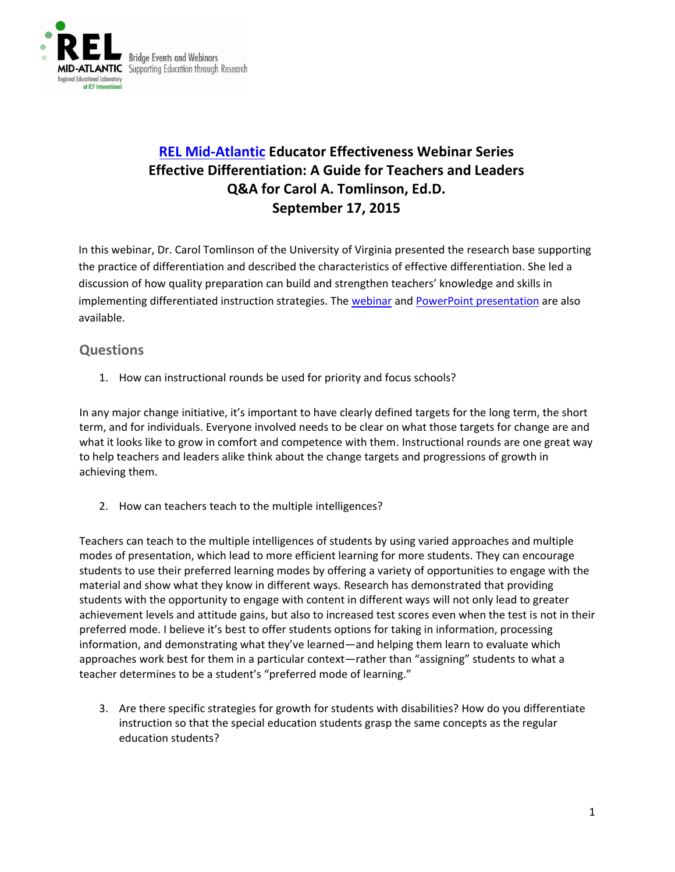

# **[REL Mid-Atlantic](https://www.relmidatlantic.org/) Educator Effectiveness Webinar Series Effective Differentiation: A Guide for Teachers and Leaders Q&A for Carol A. Tomlinson, Ed.D. September 17, 2015**

In this webinar, Dr. Carol Tomlinson of the University of Virginia presented the research base supporting the practice of differentiation and described the characteristics of effective differentiation. She led a discussion of how quality preparation can build and strengthen teachers' knowledge and skills in implementing differentiated instruction strategies. The [webinar](https://www.youtube.com/watch?list=PLVHqsnePfULp0c78CNETg532CSUELJV_2&v=KZCp1HfEk8o) and [PowerPoint presentation](https://www.relmidatlantic.org/sites/default/files/general_uploads/3%2025%208_EE4_Differentiation_Presentation_Presenter%20Copy_508c.pdf) are also available.

## **Questions**

1. How can instructional rounds be used for priority and focus schools?

In any major change initiative, it's important to have clearly defined targets for the long term, the short term, and for individuals. Everyone involved needs to be clear on what those targets for change are and what it looks like to grow in comfort and competence with them. Instructional rounds are one great way to help teachers and leaders alike think about the change targets and progressions of growth in achieving them.

2. How can teachers teach to the multiple intelligences?

Teachers can teach to the multiple intelligences of students by using varied approaches and multiple modes of presentation, which lead to more efficient learning for more students. They can encourage students to use their preferred learning modes by offering a variety of opportunities to engage with the material and show what they know in different ways. Research has demonstrated that providing students with the opportunity to engage with content in different ways will not only lead to greater achievement levels and attitude gains, but also to increased test scores even when the test is not in their preferred mode. I believe it's best to offer students options for taking in information, processing information, and demonstrating what they've learned—and helping them learn to evaluate which approaches work best for them in a particular context—rather than "assigning" students to what a teacher determines to be a student's "preferred mode of learning."

3. Are there specific strategies for growth for students with disabilities? How do you differentiate instruction so that the special education students grasp the same concepts as the regular education students?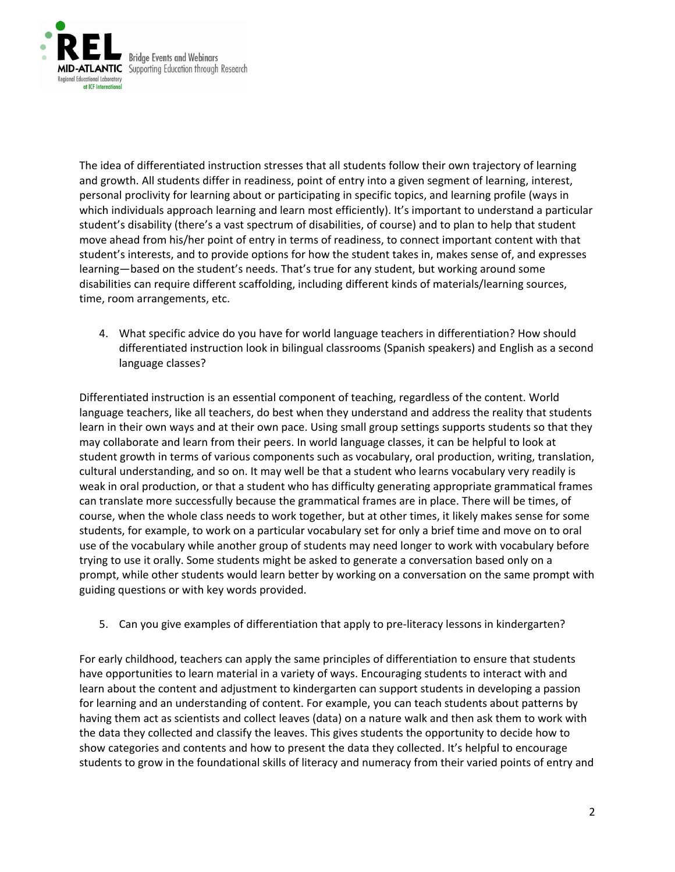

The idea of differentiated instruction stresses that all students follow their own trajectory of learning and growth. All students differ in readiness, point of entry into a given segment of learning, interest, personal proclivity for learning about or participating in specific topics, and learning profile (ways in which individuals approach learning and learn most efficiently). It's important to understand a particular student's disability (there's a vast spectrum of disabilities, of course) and to plan to help that student move ahead from his/her point of entry in terms of readiness, to connect important content with that student's interests, and to provide options for how the student takes in, makes sense of, and expresses learning—based on the student's needs. That's true for any student, but working around some disabilities can require different scaffolding, including different kinds of materials/learning sources, time, room arrangements, etc.

4. What specific advice do you have for world language teachers in differentiation? How should differentiated instruction look in bilingual classrooms (Spanish speakers) and English as a second language classes?

Differentiated instruction is an essential component of teaching, regardless of the content. World language teachers, like all teachers, do best when they understand and address the reality that students learn in their own ways and at their own pace. Using small group settings supports students so that they may collaborate and learn from their peers. In world language classes, it can be helpful to look at student growth in terms of various components such as vocabulary, oral production, writing, translation, cultural understanding, and so on. It may well be that a student who learns vocabulary very readily is weak in oral production, or that a student who has difficulty generating appropriate grammatical frames can translate more successfully because the grammatical frames are in place. There will be times, of course, when the whole class needs to work together, but at other times, it likely makes sense for some students, for example, to work on a particular vocabulary set for only a brief time and move on to oral use of the vocabulary while another group of students may need longer to work with vocabulary before trying to use it orally. Some students might be asked to generate a conversation based only on a prompt, while other students would learn better by working on a conversation on the same prompt with guiding questions or with key words provided.

5. Can you give examples of differentiation that apply to pre-literacy lessons in kindergarten?

For early childhood, teachers can apply the same principles of differentiation to ensure that students have opportunities to learn material in a variety of ways. Encouraging students to interact with and learn about the content and adjustment to kindergarten can support students in developing a passion for learning and an understanding of content. For example, you can teach students about patterns by having them act as scientists and collect leaves (data) on a nature walk and then ask them to work with the data they collected and classify the leaves. This gives students the opportunity to decide how to show categories and contents and how to present the data they collected. It's helpful to encourage students to grow in the foundational skills of literacy and numeracy from their varied points of entry and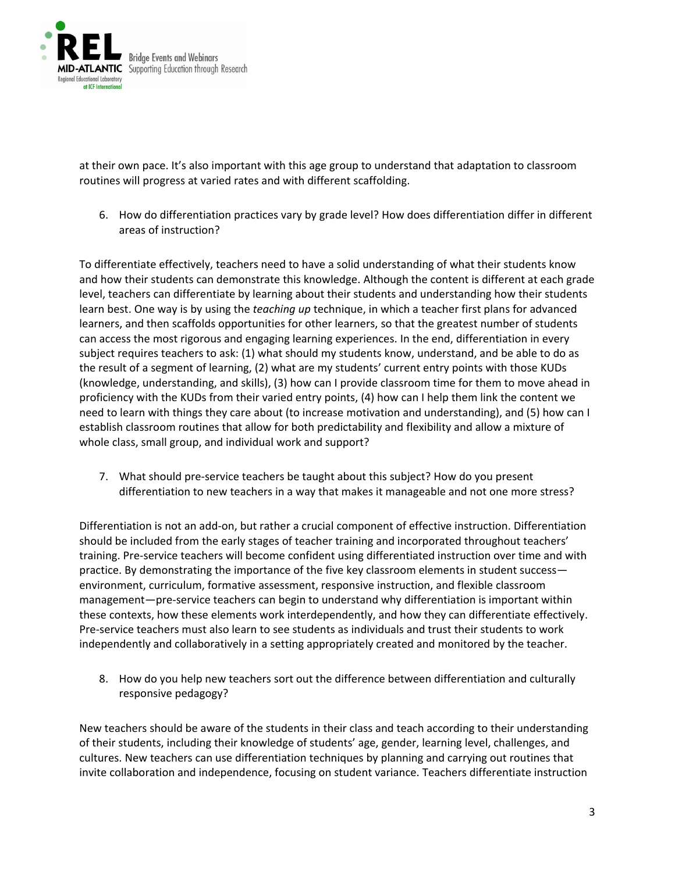

at their own pace. It's also important with this age group to understand that adaptation to classroom routines will progress at varied rates and with different scaffolding.

6. How do differentiation practices vary by grade level? How does differentiation differ in different areas of instruction?

To differentiate effectively, teachers need to have a solid understanding of what their students know and how their students can demonstrate this knowledge. Although the content is different at each grade level, teachers can differentiate by learning about their students and understanding how their students learn best. One way is by using the *teaching up* technique, in which a teacher first plans for advanced learners, and then scaffolds opportunities for other learners, so that the greatest number of students can access the most rigorous and engaging learning experiences. In the end, differentiation in every subject requires teachers to ask: (1) what should my students know, understand, and be able to do as the result of a segment of learning, (2) what are my students' current entry points with those KUDs (knowledge, understanding, and skills), (3) how can I provide classroom time for them to move ahead in proficiency with the KUDs from their varied entry points, (4) how can I help them link the content we need to learn with things they care about (to increase motivation and understanding), and (5) how can I establish classroom routines that allow for both predictability and flexibility and allow a mixture of whole class, small group, and individual work and support?

7. What should pre-service teachers be taught about this subject? How do you present differentiation to new teachers in a way that makes it manageable and not one more stress?

Differentiation is not an add-on, but rather a crucial component of effective instruction. Differentiation should be included from the early stages of teacher training and incorporated throughout teachers' training. Pre-service teachers will become confident using differentiated instruction over time and with practice. By demonstrating the importance of the five key classroom elements in student success environment, curriculum, formative assessment, responsive instruction, and flexible classroom management—pre-service teachers can begin to understand why differentiation is important within these contexts, how these elements work interdependently, and how they can differentiate effectively. Pre-service teachers must also learn to see students as individuals and trust their students to work independently and collaboratively in a setting appropriately created and monitored by the teacher.

8. How do you help new teachers sort out the difference between differentiation and culturally responsive pedagogy?

New teachers should be aware of the students in their class and teach according to their understanding of their students, including their knowledge of students' age, gender, learning level, challenges, and cultures. New teachers can use differentiation techniques by planning and carrying out routines that invite collaboration and independence, focusing on student variance. Teachers differentiate instruction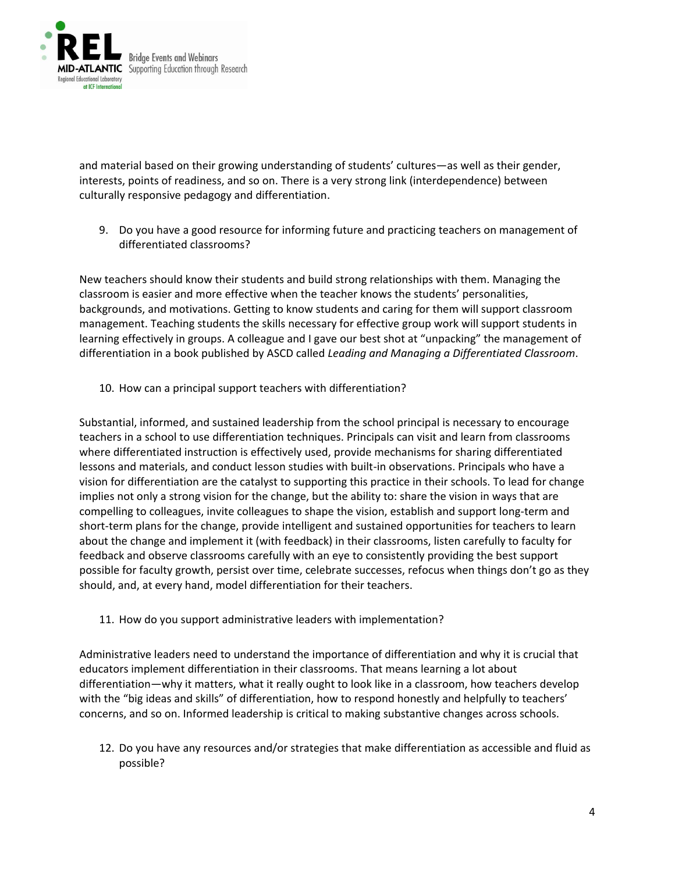

and material based on their growing understanding of students' cultures—as well as their gender, interests, points of readiness, and so on. There is a very strong link (interdependence) between culturally responsive pedagogy and differentiation.

9. Do you have a good resource for informing future and practicing teachers on management of differentiated classrooms?

New teachers should know their students and build strong relationships with them. Managing the classroom is easier and more effective when the teacher knows the students' personalities, backgrounds, and motivations. Getting to know students and caring for them will support classroom management. Teaching students the skills necessary for effective group work will support students in learning effectively in groups. A colleague and I gave our best shot at "unpacking" the management of differentiation in a book published by ASCD called *Leading and Managing a Differentiated Classroom*.

10. How can a principal support teachers with differentiation?

Substantial, informed, and sustained leadership from the school principal is necessary to encourage teachers in a school to use differentiation techniques. Principals can visit and learn from classrooms where differentiated instruction is effectively used, provide mechanisms for sharing differentiated lessons and materials, and conduct lesson studies with built-in observations. Principals who have a vision for differentiation are the catalyst to supporting this practice in their schools. To lead for change implies not only a strong vision for the change, but the ability to: share the vision in ways that are compelling to colleagues, invite colleagues to shape the vision, establish and support long-term and short-term plans for the change, provide intelligent and sustained opportunities for teachers to learn about the change and implement it (with feedback) in their classrooms, listen carefully to faculty for feedback and observe classrooms carefully with an eye to consistently providing the best support possible for faculty growth, persist over time, celebrate successes, refocus when things don't go as they should, and, at every hand, model differentiation for their teachers.

11. How do you support administrative leaders with implementation?

Administrative leaders need to understand the importance of differentiation and why it is crucial that educators implement differentiation in their classrooms. That means learning a lot about differentiation—why it matters, what it really ought to look like in a classroom, how teachers develop with the "big ideas and skills" of differentiation, how to respond honestly and helpfully to teachers' concerns, and so on. Informed leadership is critical to making substantive changes across schools.

12. Do you have any resources and/or strategies that make differentiation as accessible and fluid as possible?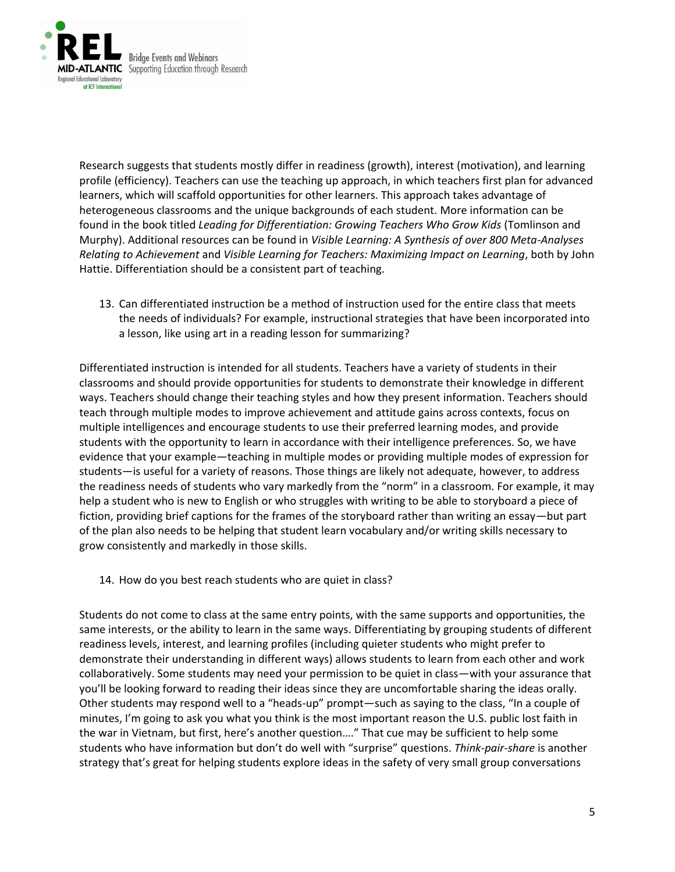

Research suggests that students mostly differ in readiness (growth), interest (motivation), and learning profile (efficiency). Teachers can use the teaching up approach, in which teachers first plan for advanced learners, which will scaffold opportunities for other learners. This approach takes advantage of heterogeneous classrooms and the unique backgrounds of each student. More information can be found in the book titled *Leading for Differentiation: Growing Teachers Who Grow Kids* (Tomlinson and Murphy). Additional resources can be found in *Visible Learning: A Synthesis of over 800 Meta-Analyses Relating to Achievement* and *Visible Learning for Teachers: Maximizing Impact on Learning*, both by John Hattie. Differentiation should be a consistent part of teaching.

13. Can differentiated instruction be a method of instruction used for the entire class that meets the needs of individuals? For example, instructional strategies that have been incorporated into a lesson, like using art in a reading lesson for summarizing?

Differentiated instruction is intended for all students. Teachers have a variety of students in their classrooms and should provide opportunities for students to demonstrate their knowledge in different ways. Teachers should change their teaching styles and how they present information. Teachers should teach through multiple modes to improve achievement and attitude gains across contexts, focus on multiple intelligences and encourage students to use their preferred learning modes, and provide students with the opportunity to learn in accordance with their intelligence preferences. So, we have evidence that your example—teaching in multiple modes or providing multiple modes of expression for students—is useful for a variety of reasons. Those things are likely not adequate, however, to address the readiness needs of students who vary markedly from the "norm" in a classroom. For example, it may help a student who is new to English or who struggles with writing to be able to storyboard a piece of fiction, providing brief captions for the frames of the storyboard rather than writing an essay—but part of the plan also needs to be helping that student learn vocabulary and/or writing skills necessary to grow consistently and markedly in those skills.

14. How do you best reach students who are quiet in class?

Students do not come to class at the same entry points, with the same supports and opportunities, the same interests, or the ability to learn in the same ways. Differentiating by grouping students of different readiness levels, interest, and learning profiles (including quieter students who might prefer to demonstrate their understanding in different ways) allows students to learn from each other and work collaboratively. Some students may need your permission to be quiet in class—with your assurance that you'll be looking forward to reading their ideas since they are uncomfortable sharing the ideas orally. Other students may respond well to a "heads-up" prompt—such as saying to the class, "In a couple of minutes, I'm going to ask you what you think is the most important reason the U.S. public lost faith in the war in Vietnam, but first, here's another question…." That cue may be sufficient to help some students who have information but don't do well with "surprise" questions. *Think-pair-share* is another strategy that's great for helping students explore ideas in the safety of very small group conversations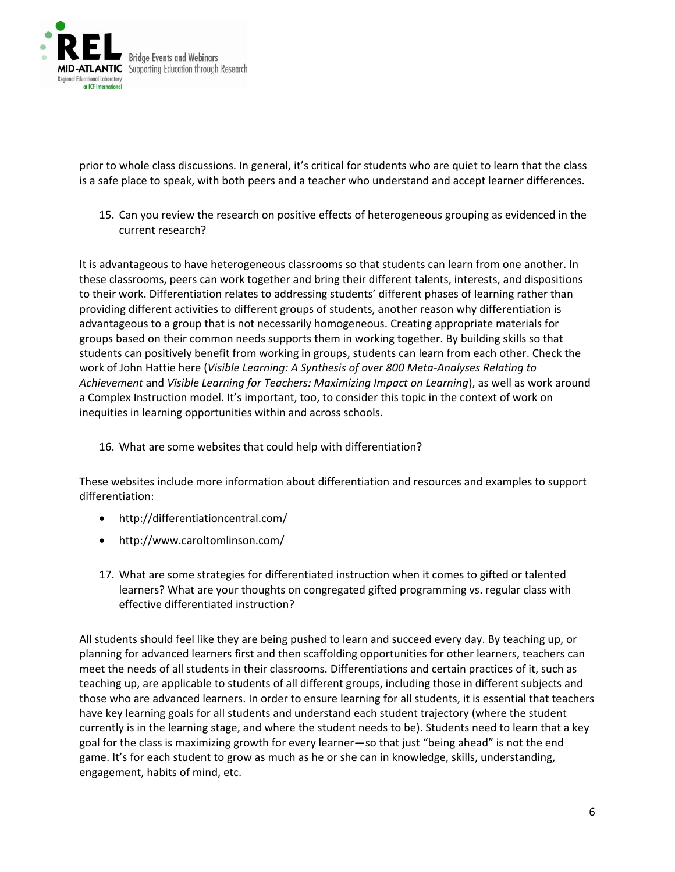

prior to whole class discussions. In general, it's critical for students who are quiet to learn that the class is a safe place to speak, with both peers and a teacher who understand and accept learner differences.

15. Can you review the research on positive effects of heterogeneous grouping as evidenced in the current research?

It is advantageous to have heterogeneous classrooms so that students can learn from one another. In these classrooms, peers can work together and bring their different talents, interests, and dispositions to their work. Differentiation relates to addressing students' different phases of learning rather than providing different activities to different groups of students, another reason why differentiation is advantageous to a group that is not necessarily homogeneous. Creating appropriate materials for groups based on their common needs supports them in working together. By building skills so that students can positively benefit from working in groups, students can learn from each other. Check the work of John Hattie here (*Visible Learning: A Synthesis of over 800 Meta-Analyses Relating to Achievement* and *Visible Learning for Teachers: Maximizing Impact on Learning*), as well as work around a Complex Instruction model. It's important, too, to consider this topic in the context of work on inequities in learning opportunities within and across schools.

16. What are some websites that could help with differentiation?

These websites include more information about differentiation and resources and examples to support differentiation:

- http://differentiationcentral.com/
- http://www.caroltomlinson.com/
- 17. What are some strategies for differentiated instruction when it comes to gifted or talented learners? What are your thoughts on congregated gifted programming vs. regular class with effective differentiated instruction?

All students should feel like they are being pushed to learn and succeed every day. By teaching up, or planning for advanced learners first and then scaffolding opportunities for other learners, teachers can meet the needs of all students in their classrooms. Differentiations and certain practices of it, such as teaching up, are applicable to students of all different groups, including those in different subjects and those who are advanced learners. In order to ensure learning for all students, it is essential that teachers have key learning goals for all students and understand each student trajectory (where the student currently is in the learning stage, and where the student needs to be). Students need to learn that a key goal for the class is maximizing growth for every learner—so that just "being ahead" is not the end game. It's for each student to grow as much as he or she can in knowledge, skills, understanding, engagement, habits of mind, etc.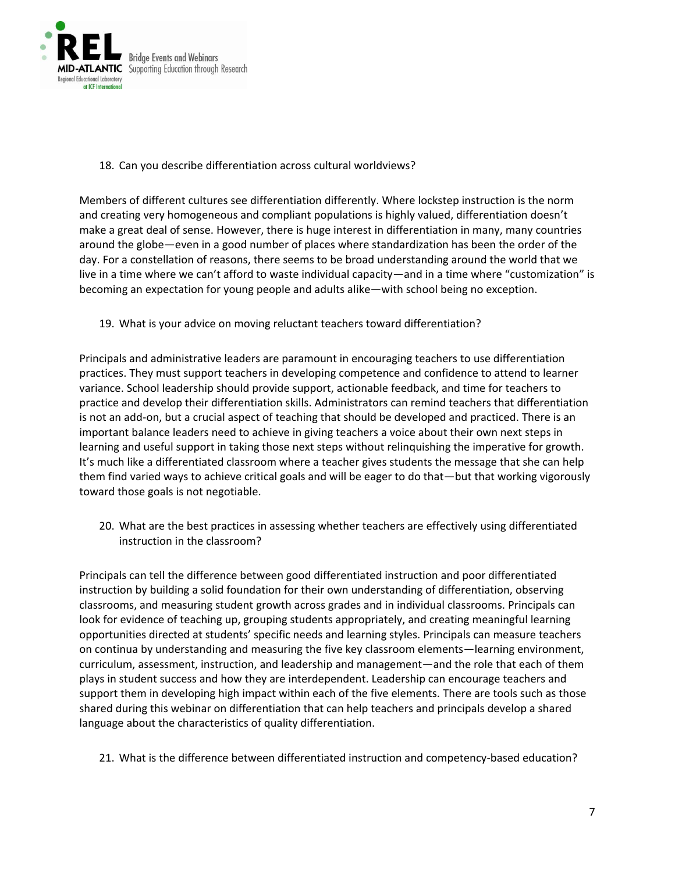

#### 18. Can you describe differentiation across cultural worldviews?

Members of different cultures see differentiation differently. Where lockstep instruction is the norm and creating very homogeneous and compliant populations is highly valued, differentiation doesn't make a great deal of sense. However, there is huge interest in differentiation in many, many countries around the globe—even in a good number of places where standardization has been the order of the day. For a constellation of reasons, there seems to be broad understanding around the world that we live in a time where we can't afford to waste individual capacity—and in a time where "customization" is becoming an expectation for young people and adults alike—with school being no exception.

#### 19. What is your advice on moving reluctant teachers toward differentiation?

Principals and administrative leaders are paramount in encouraging teachers to use differentiation practices. They must support teachers in developing competence and confidence to attend to learner variance. School leadership should provide support, actionable feedback, and time for teachers to practice and develop their differentiation skills. Administrators can remind teachers that differentiation is not an add-on, but a crucial aspect of teaching that should be developed and practiced. There is an important balance leaders need to achieve in giving teachers a voice about their own next steps in learning and useful support in taking those next steps without relinquishing the imperative for growth. It's much like a differentiated classroom where a teacher gives students the message that she can help them find varied ways to achieve critical goals and will be eager to do that—but that working vigorously toward those goals is not negotiable.

20. What are the best practices in assessing whether teachers are effectively using differentiated instruction in the classroom?

Principals can tell the difference between good differentiated instruction and poor differentiated instruction by building a solid foundation for their own understanding of differentiation, observing classrooms, and measuring student growth across grades and in individual classrooms. Principals can look for evidence of teaching up, grouping students appropriately, and creating meaningful learning opportunities directed at students' specific needs and learning styles. Principals can measure teachers on continua by understanding and measuring the five key classroom elements—learning environment, curriculum, assessment, instruction, and leadership and management—and the role that each of them plays in student success and how they are interdependent. Leadership can encourage teachers and support them in developing high impact within each of the five elements. There are tools such as those shared during this webinar on differentiation that can help teachers and principals develop a shared language about the characteristics of quality differentiation.

21. What is the difference between differentiated instruction and competency-based education?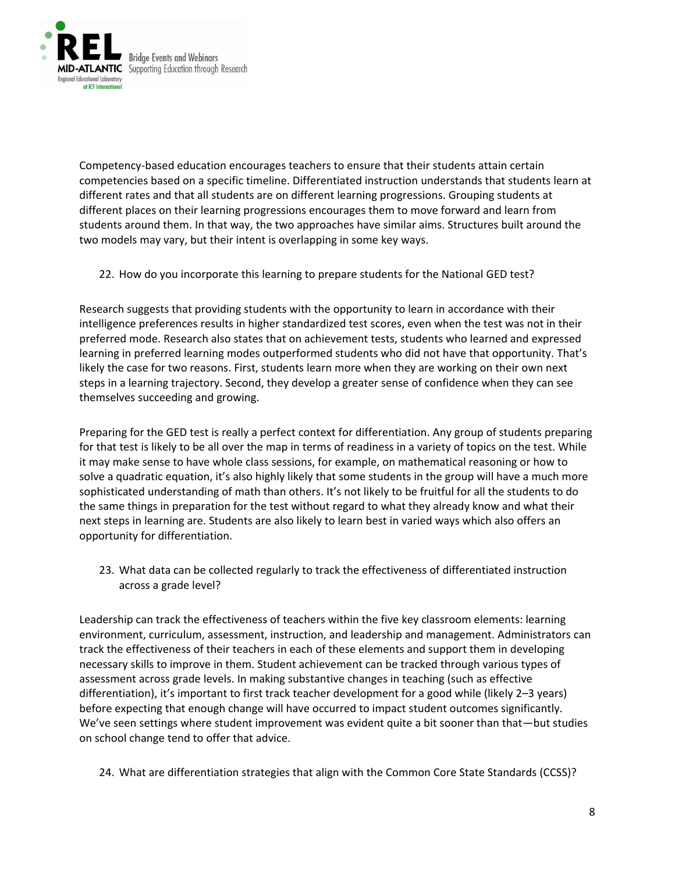

Competency-based education encourages teachers to ensure that their students attain certain competencies based on a specific timeline. Differentiated instruction understands that students learn at different rates and that all students are on different learning progressions. Grouping students at different places on their learning progressions encourages them to move forward and learn from students around them. In that way, the two approaches have similar aims. Structures built around the two models may vary, but their intent is overlapping in some key ways.

22. How do you incorporate this learning to prepare students for the National GED test?

Research suggests that providing students with the opportunity to learn in accordance with their intelligence preferences results in higher standardized test scores, even when the test was not in their preferred mode. Research also states that on achievement tests, students who learned and expressed learning in preferred learning modes outperformed students who did not have that opportunity. That's likely the case for two reasons. First, students learn more when they are working on their own next steps in a learning trajectory. Second, they develop a greater sense of confidence when they can see themselves succeeding and growing.

Preparing for the GED test is really a perfect context for differentiation. Any group of students preparing for that test is likely to be all over the map in terms of readiness in a variety of topics on the test. While it may make sense to have whole class sessions, for example, on mathematical reasoning or how to solve a quadratic equation, it's also highly likely that some students in the group will have a much more sophisticated understanding of math than others. It's not likely to be fruitful for all the students to do the same things in preparation for the test without regard to what they already know and what their next steps in learning are. Students are also likely to learn best in varied ways which also offers an opportunity for differentiation.

23. What data can be collected regularly to track the effectiveness of differentiated instruction across a grade level?

Leadership can track the effectiveness of teachers within the five key classroom elements: learning environment, curriculum, assessment, instruction, and leadership and management. Administrators can track the effectiveness of their teachers in each of these elements and support them in developing necessary skills to improve in them. Student achievement can be tracked through various types of assessment across grade levels. In making substantive changes in teaching (such as effective differentiation), it's important to first track teacher development for a good while (likely 2–3 years) before expecting that enough change will have occurred to impact student outcomes significantly. We've seen settings where student improvement was evident quite a bit sooner than that—but studies on school change tend to offer that advice.

24. What are differentiation strategies that align with the Common Core State Standards (CCSS)?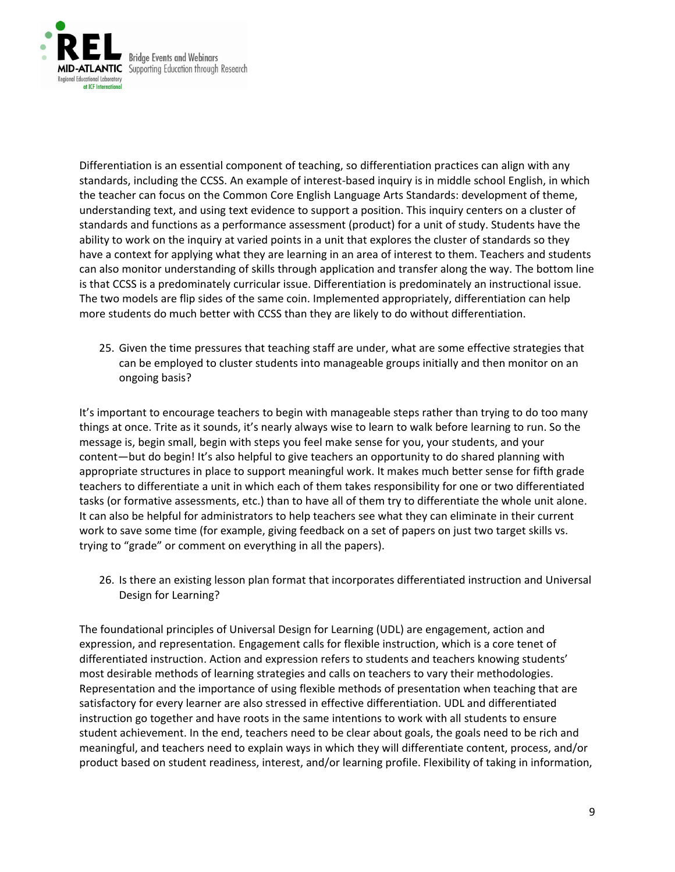

Differentiation is an essential component of teaching, so differentiation practices can align with any standards, including the CCSS. An example of interest-based inquiry is in middle school English, in which the teacher can focus on the Common Core English Language Arts Standards: development of theme, understanding text, and using text evidence to support a position. This inquiry centers on a cluster of standards and functions as a performance assessment (product) for a unit of study. Students have the ability to work on the inquiry at varied points in a unit that explores the cluster of standards so they have a context for applying what they are learning in an area of interest to them. Teachers and students can also monitor understanding of skills through application and transfer along the way. The bottom line is that CCSS is a predominately curricular issue. Differentiation is predominately an instructional issue. The two models are flip sides of the same coin. Implemented appropriately, differentiation can help more students do much better with CCSS than they are likely to do without differentiation.

25. Given the time pressures that teaching staff are under, what are some effective strategies that can be employed to cluster students into manageable groups initially and then monitor on an ongoing basis?

It's important to encourage teachers to begin with manageable steps rather than trying to do too many things at once. Trite as it sounds, it's nearly always wise to learn to walk before learning to run. So the message is, begin small, begin with steps you feel make sense for you, your students, and your content—but do begin! It's also helpful to give teachers an opportunity to do shared planning with appropriate structures in place to support meaningful work. It makes much better sense for fifth grade teachers to differentiate a unit in which each of them takes responsibility for one or two differentiated tasks (or formative assessments, etc.) than to have all of them try to differentiate the whole unit alone. It can also be helpful for administrators to help teachers see what they can eliminate in their current work to save some time (for example, giving feedback on a set of papers on just two target skills vs. trying to "grade" or comment on everything in all the papers).

26. Is there an existing lesson plan format that incorporates differentiated instruction and Universal Design for Learning?

The foundational principles of Universal Design for Learning (UDL) are engagement, action and expression, and representation. Engagement calls for flexible instruction, which is a core tenet of differentiated instruction. Action and expression refers to students and teachers knowing students' most desirable methods of learning strategies and calls on teachers to vary their methodologies. Representation and the importance of using flexible methods of presentation when teaching that are satisfactory for every learner are also stressed in effective differentiation. UDL and differentiated instruction go together and have roots in the same intentions to work with all students to ensure student achievement. In the end, teachers need to be clear about goals, the goals need to be rich and meaningful, and teachers need to explain ways in which they will differentiate content, process, and/or product based on student readiness, interest, and/or learning profile. Flexibility of taking in information,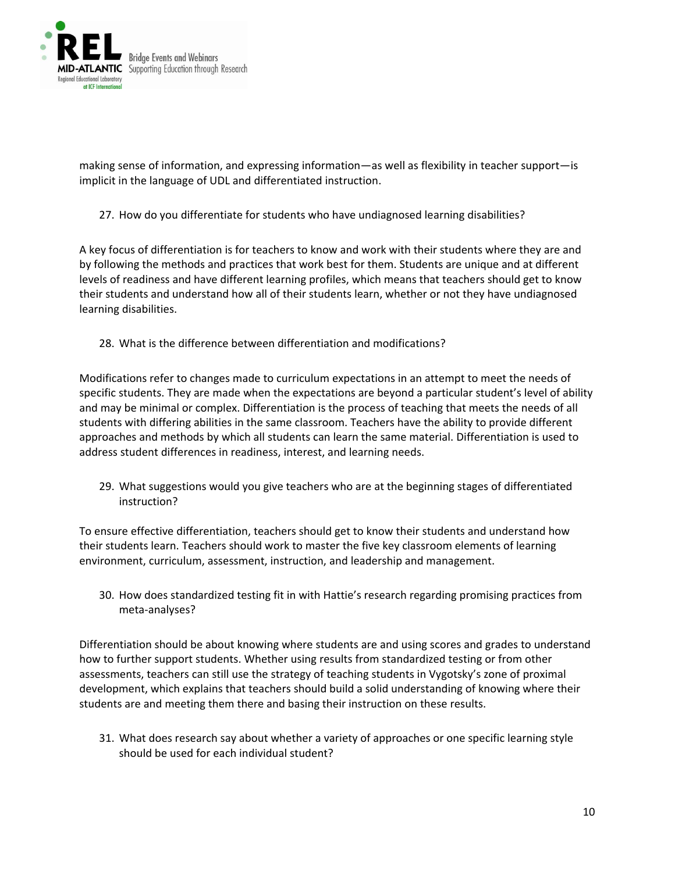

making sense of information, and expressing information—as well as flexibility in teacher support—is implicit in the language of UDL and differentiated instruction.

27. How do you differentiate for students who have undiagnosed learning disabilities?

A key focus of differentiation is for teachers to know and work with their students where they are and by following the methods and practices that work best for them. Students are unique and at different levels of readiness and have different learning profiles, which means that teachers should get to know their students and understand how all of their students learn, whether or not they have undiagnosed learning disabilities.

28. What is the difference between differentiation and modifications?

Modifications refer to changes made to curriculum expectations in an attempt to meet the needs of specific students. They are made when the expectations are beyond a particular student's level of ability and may be minimal or complex. Differentiation is the process of teaching that meets the needs of all students with differing abilities in the same classroom. Teachers have the ability to provide different approaches and methods by which all students can learn the same material. Differentiation is used to address student differences in readiness, interest, and learning needs.

29. What suggestions would you give teachers who are at the beginning stages of differentiated instruction?

To ensure effective differentiation, teachers should get to know their students and understand how their students learn. Teachers should work to master the five key classroom elements of learning environment, curriculum, assessment, instruction, and leadership and management.

30. How does standardized testing fit in with Hattie's research regarding promising practices from meta-analyses?

Differentiation should be about knowing where students are and using scores and grades to understand how to further support students. Whether using results from standardized testing or from other assessments, teachers can still use the strategy of teaching students in Vygotsky's zone of proximal development, which explains that teachers should build a solid understanding of knowing where their students are and meeting them there and basing their instruction on these results.

31. What does research say about whether a variety of approaches or one specific learning style should be used for each individual student?